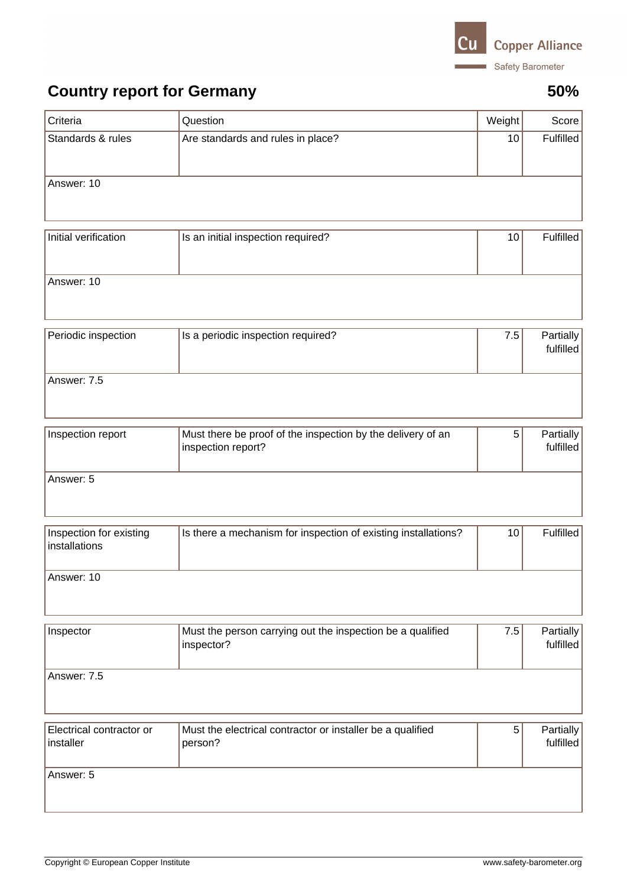

## **Country report for Germany 50%**

| Criteria                                 | Question                                                                          | Weight | Score                         |  |
|------------------------------------------|-----------------------------------------------------------------------------------|--------|-------------------------------|--|
| Standards & rules                        | Are standards and rules in place?                                                 | 10     | <b>Fulfilled</b>              |  |
| Answer: 10                               |                                                                                   |        |                               |  |
| Initial verification                     | Is an initial inspection required?                                                | 10     | Fulfilled                     |  |
| Answer: 10                               |                                                                                   |        |                               |  |
| Periodic inspection                      | Is a periodic inspection required?                                                | 7.5    | Partially<br>fulfilled        |  |
| Answer: 7.5                              |                                                                                   |        |                               |  |
| Inspection report                        | Must there be proof of the inspection by the delivery of an<br>inspection report? | 5      | Partially<br>fulfilled        |  |
| Answer: 5                                |                                                                                   |        |                               |  |
| Inspection for existing<br>installations | Is there a mechanism for inspection of existing installations?                    | 10     | Fulfilled                     |  |
| Answer: 10                               |                                                                                   |        |                               |  |
| Inspector                                | Must the person carrying out the inspection be a qualified<br>inspector?          | 7.5    | Partially<br>fulfilled        |  |
| Answer: 7.5                              |                                                                                   |        |                               |  |
| Electrical contractor or<br>installer    | Must the electrical contractor or installer be a qualified<br>person?             | 5      | <b>Partially</b><br>fulfilled |  |
| Answer: 5                                |                                                                                   |        |                               |  |